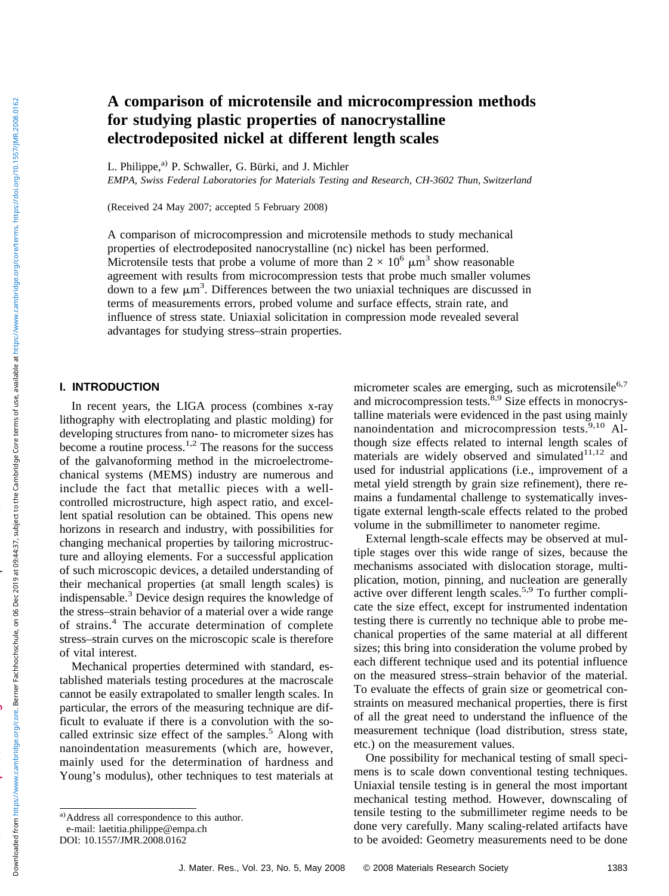# **A comparison of microtensile and microcompression methods for studying plastic properties of nanocrystalline electrodeposited nickel at different length scales**

L. Philippe,<sup>a)</sup> P. Schwaller, G. Bürki, and J. Michler

*EMPA, Swiss Federal Laboratories for Materials Testing and Research, CH-3602 Thun, Switzerland*

(Received 24 May 2007; accepted 5 February 2008)

A comparison of microcompression and microtensile methods to study mechanical properties of electrodeposited nanocrystalline (nc) nickel has been performed. Microtensile tests that probe a volume of more than  $2 \times 10^6 \mu m^3$  show reasonable agreement with results from microcompression tests that probe much smaller volumes down to a few  $\mu$ m<sup>3</sup>. Differences between the two uniaxial techniques are discussed in terms of measurements errors, probed volume and surface effects, strain rate, and influence of stress state. Uniaxial solicitation in compression mode revealed several advantages for studying stress–strain properties.

#### **I. INTRODUCTION**

In recent years, the LIGA process (combines x-ray lithography with electroplating and plastic molding) for developing structures from nano- to micrometer sizes has become a routine process.<sup>1,2</sup> The reasons for the success of the galvanoforming method in the microelectromechanical systems (MEMS) industry are numerous and include the fact that metallic pieces with a wellcontrolled microstructure, high aspect ratio, and excellent spatial resolution can be obtained. This opens new horizons in research and industry, with possibilities for changing mechanical properties by tailoring microstructure and alloying elements. For a successful application of such microscopic devices, a detailed understanding of their mechanical properties (at small length scales) is indispensable.<sup>3</sup> Device design requires the knowledge of the stress–strain behavior of a material over a wide range of strains.<sup>4</sup> The accurate determination of complete stress–strain curves on the microscopic scale is therefore of vital interest.

Mechanical properties determined with standard, established materials testing procedures at the macroscale cannot be easily extrapolated to smaller length scales. In particular, the errors of the measuring technique are difficult to evaluate if there is a convolution with the socalled extrinsic size effect of the samples. $5$  Along with nanoindentation measurements (which are, however, mainly used for the determination of hardness and Young's modulus), other techniques to test materials at micrometer scales are emerging, such as microtensile $6,7$ and microcompression tests.<sup>8,9</sup> Size effects in monocrystalline materials were evidenced in the past using mainly nanoindentation and microcompression tests.<sup>9,10</sup> Although size effects related to internal length scales of materials are widely observed and simulated $11,12$  and used for industrial applications (i.e., improvement of a metal yield strength by grain size refinement), there remains a fundamental challenge to systematically investigate external length-scale effects related to the probed volume in the submillimeter to nanometer regime.

External length-scale effects may be observed at multiple stages over this wide range of sizes, because the mechanisms associated with dislocation storage, multiplication, motion, pinning, and nucleation are generally active over different length scales.<sup>5,9</sup> To further complicate the size effect, except for instrumented indentation testing there is currently no technique able to probe mechanical properties of the same material at all different sizes; this bring into consideration the volume probed by each different technique used and its potential influence on the measured stress–strain behavior of the material. To evaluate the effects of grain size or geometrical constraints on measured mechanical properties, there is first of all the great need to understand the influence of the measurement technique (load distribution, stress state, etc.) on the measurement values.

One possibility for mechanical testing of small specimens is to scale down conventional testing techniques. Uniaxial tensile testing is in general the most important mechanical testing method. However, downscaling of tensile testing to the submillimeter regime needs to be done very carefully. Many scaling-related artifacts have to be avoided: Geometry measurements need to be done

**source: https://doi.org/10.24451/arbor.9310 | downloaded: 28.6.2022**

a)Address all correspondence to this author.

e-mail: laetitia.philippe@empa.ch

DOI: 10.1557/JMR.2008.0162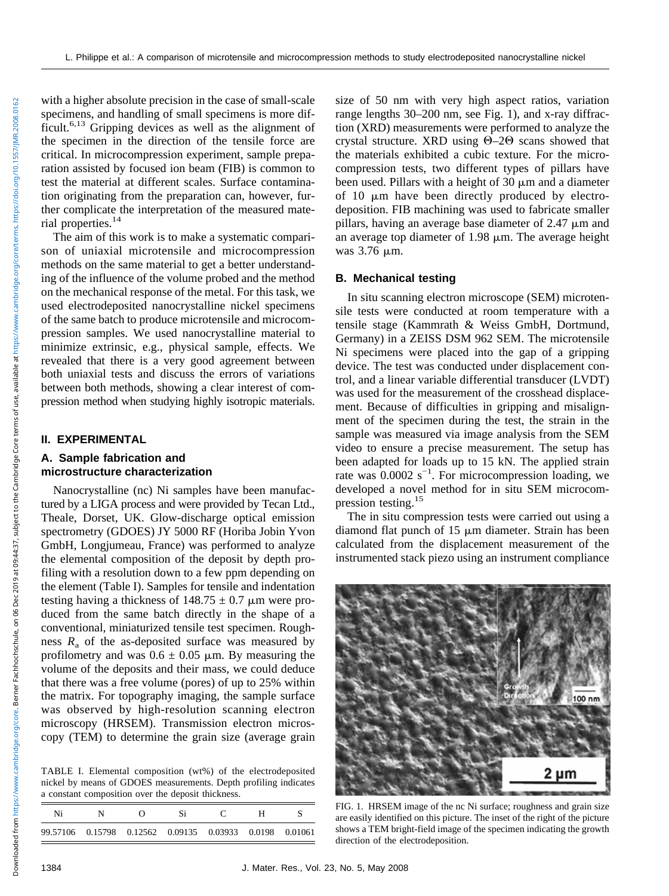with a higher absolute precision in the case of small-scale specimens, and handling of small specimens is more difficult.6,13 Gripping devices as well as the alignment of the specimen in the direction of the tensile force are critical. In microcompression experiment, sample preparation assisted by focused ion beam (FIB) is common to test the material at different scales. Surface contamination originating from the preparation can, however, further complicate the interpretation of the measured material properties.14

The aim of this work is to make a systematic comparison of uniaxial microtensile and microcompression methods on the same material to get a better understanding of the influence of the volume probed and the method on the mechanical response of the metal. For this task, we used electrodeposited nanocrystalline nickel specimens of the same batch to produce microtensile and microcompression samples. We used nanocrystalline material to minimize extrinsic, e.g., physical sample, effects. We revealed that there is a very good agreement between both uniaxial tests and discuss the errors of variations between both methods, showing a clear interest of compression method when studying highly isotropic materials.

## **II. EXPERIMENTAL**

## **A. Sample fabrication and microstructure characterization**

Nanocrystalline (nc) Ni samples have been manufactured by a LIGA process and were provided by Tecan Ltd., Theale, Dorset, UK. Glow-discharge optical emission spectrometry (GDOES) JY 5000 RF (Horiba Jobin Yvon GmbH, Longjumeau, France) was performed to analyze the elemental composition of the deposit by depth profiling with a resolution down to a few ppm depending on the element (Table I). Samples for tensile and indentation testing having a thickness of  $148.75 \pm 0.7$  µm were produced from the same batch directly in the shape of a conventional, miniaturized tensile test specimen. Roughness  $R_a$  of the as-deposited surface was measured by profilometry and was  $0.6 \pm 0.05$  µm. By measuring the volume of the deposits and their mass, we could deduce that there was a free volume (pores) of up to 25% within the matrix. For topography imaging, the sample surface was observed by high-resolution scanning electron microscopy (HRSEM). Transmission electron microscopy (TEM) to determine the grain size (average grain

TABLE I. Elemental composition (wt%) of the electrodeposited nickel by means of GDOES measurements. Depth profiling indicates a constant composition over the deposit thickness.

| Ni |                                                               |  |  |  |
|----|---------------------------------------------------------------|--|--|--|
|    | 99.57106  0.15798  0.12562  0.09135  0.03933  0.0198  0.01061 |  |  |  |

size of 50 nm with very high aspect ratios, variation range lengths 30–200 nm, see Fig. 1), and x-ray diffraction (XRD) measurements were performed to analyze the crystal structure. XRD using  $\Theta$ -2 $\Theta$  scans showed that the materials exhibited a cubic texture. For the microcompression tests, two different types of pillars have been used. Pillars with a height of  $30 \mu m$  and a diameter of 10  $\mu$ m have been directly produced by electrodeposition. FIB machining was used to fabricate smaller pillars, having an average base diameter of  $2.47 \mu m$  and an average top diameter of  $1.98 \mu m$ . The average height was 3.76  $\mu$ m.

### **B. Mechanical testing**

In situ scanning electron microscope (SEM) microtensile tests were conducted at room temperature with a tensile stage (Kammrath & Weiss GmbH, Dortmund, Germany) in a ZEISS DSM 962 SEM. The microtensile Ni specimens were placed into the gap of a gripping device. The test was conducted under displacement control, and a linear variable differential transducer (LVDT) was used for the measurement of the crosshead displacement. Because of difficulties in gripping and misalignment of the specimen during the test, the strain in the sample was measured via image analysis from the SEM video to ensure a precise measurement. The setup has been adapted for loads up to 15 kN. The applied strain rate was  $0.0002$  s<sup>-1</sup>. For microcompression loading, we developed a novel method for in situ SEM microcompression testing.<sup>15</sup>

The in situ compression tests were carried out using a diamond flat punch of  $15 \mu m$  diameter. Strain has been calculated from the displacement measurement of the instrumented stack piezo using an instrument compliance



FIG. 1. HRSEM image of the nc Ni surface; roughness and grain size are easily identified on this picture. The inset of the right of the picture shows a TEM bright-field image of the specimen indicating the growth direction of the electrodeposition.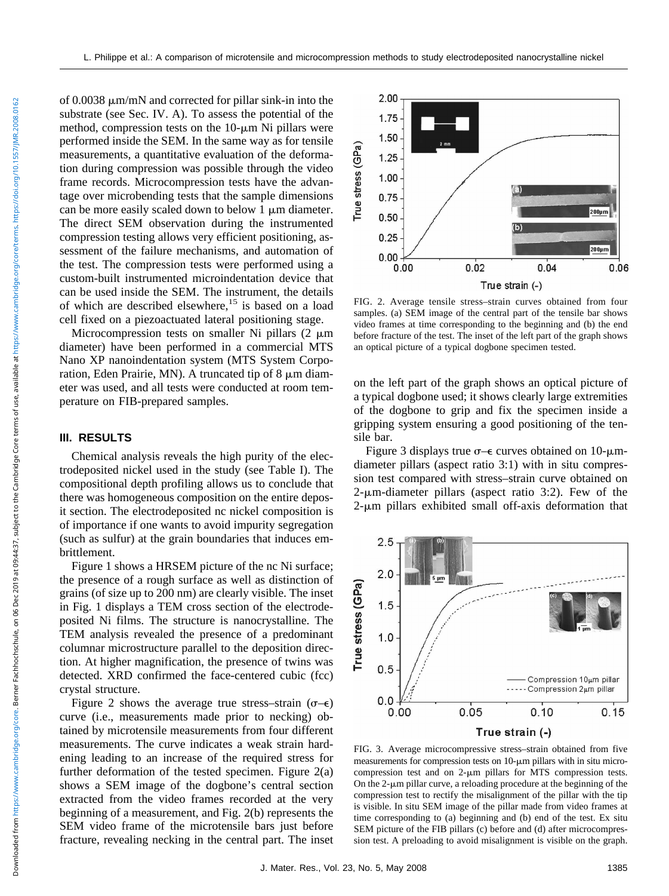of  $0.0038 \mu m/mN$  and corrected for pillar sink-in into the substrate (see Sec. IV. A). To assess the potential of the method, compression tests on the  $10$ - $\mu$ m Ni pillars were performed inside the SEM. In the same way as for tensile measurements, a quantitative evaluation of the deformation during compression was possible through the video frame records. Microcompression tests have the advantage over microbending tests that the sample dimensions can be more easily scaled down to below  $1 \mu m$  diameter. The direct SEM observation during the instrumented compression testing allows very efficient positioning, assessment of the failure mechanisms, and automation of the test. The compression tests were performed using a custom-built instrumented microindentation device that can be used inside the SEM. The instrument, the details of which are described elsewhere,<sup>15</sup> is based on a load cell fixed on a piezoactuated lateral positioning stage.

Microcompression tests on smaller Ni pillars  $(2 \mu m)$ diameter) have been performed in a commercial MTS Nano XP nanoindentation system (MTS System Corporation, Eden Prairie, MN). A truncated tip of  $8 \mu m$  diameter was used, and all tests were conducted at room temperature on FIB-prepared samples.

### **III. RESULTS**

Chemical analysis reveals the high purity of the electrodeposited nickel used in the study (see Table I). The compositional depth profiling allows us to conclude that there was homogeneous composition on the entire deposit section. The electrodeposited nc nickel composition is of importance if one wants to avoid impurity segregation (such as sulfur) at the grain boundaries that induces embrittlement.

Figure 1 shows a HRSEM picture of the nc Ni surface; the presence of a rough surface as well as distinction of grains (of size up to 200 nm) are clearly visible. The inset in Fig. 1 displays a TEM cross section of the electrodeposited Ni films. The structure is nanocrystalline. The TEM analysis revealed the presence of a predominant columnar microstructure parallel to the deposition direction. At higher magnification, the presence of twins was detected. XRD confirmed the face-centered cubic (fcc) crystal structure.

Figure 2 shows the average true stress–strain  $(\sigma-\epsilon)$ curve (i.e., measurements made prior to necking) obtained by microtensile measurements from four different measurements. The curve indicates a weak strain hardening leading to an increase of the required stress for further deformation of the tested specimen. Figure  $2(a)$ shows a SEM image of the dogbone's central section extracted from the video frames recorded at the very beginning of a measurement, and Fig. 2(b) represents the SEM video frame of the microtensile bars just before fracture, revealing necking in the central part. The inset



FIG. 2. Average tensile stress–strain curves obtained from four samples. (a) SEM image of the central part of the tensile bar shows video frames at time corresponding to the beginning and (b) the end before fracture of the test. The inset of the left part of the graph shows an optical picture of a typical dogbone specimen tested.

on the left part of the graph shows an optical picture of a typical dogbone used; it shows clearly large extremities of the dogbone to grip and fix the specimen inside a gripping system ensuring a good positioning of the tensile bar.

Figure 3 displays true  $\sigma$  – curves obtained on 10- $\mu$ mdiameter pillars (aspect ratio 3:1) with in situ compression test compared with stress–strain curve obtained on  $2$ - $\mu$ m-diameter pillars (aspect ratio 3:2). Few of the  $2$ - $\mu$ m pillars exhibited small off-axis deformation that



FIG. 3. Average microcompressive stress–strain obtained from five measurements for compression tests on  $10$ - $\mu$ m pillars with in situ microcompression test and on  $2-\mu m$  pillars for MTS compression tests. On the  $2$ - $\mu$ m pillar curve, a reloading procedure at the beginning of the compression test to rectify the misalignment of the pillar with the tip is visible. In situ SEM image of the pillar made from video frames at time corresponding to (a) beginning and (b) end of the test. Ex situ SEM picture of the FIB pillars (c) before and (d) after microcompression test. A preloading to avoid misalignment is visible on the graph.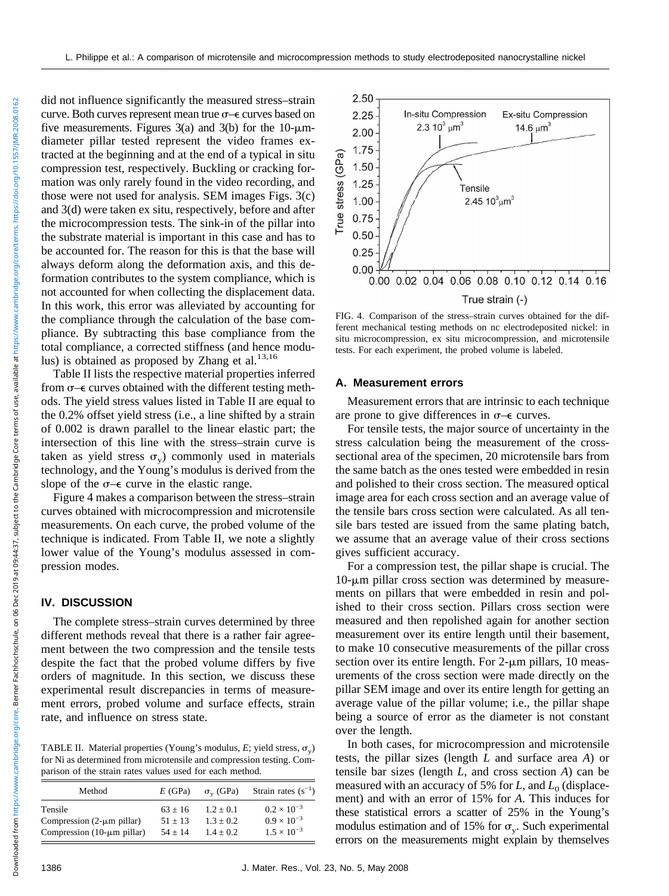did not influence significantly the measured stress–strain curve. Both curves represent mean true  $\sigma$  – curves based on five measurements. Figures 3(a) and 3(b) for the 10- $\mu$ mdiameter pillar tested represent the video frames extracted at the beginning and at the end of a typical in situ compression test, respectively. Buckling or cracking formation was only rarely found in the video recording, and those were not used for analysis. SEM images Figs. 3(c) and 3(d) were taken ex situ, respectively, before and after the microcompression tests. The sink-in of the pillar into the substrate material is important in this case and has to be accounted for. The reason for this is that the base will always deform along the deformation axis, and this deformation contributes to the system compliance, which is not accounted for when collecting the displacement data. In this work, this error was alleviated by accounting for the compliance through the calculation of the base compliance. By subtracting this base compliance from the total compliance, a corrected stiffness (and hence modulus) is obtained as proposed by Zhang et al.<sup>13,16</sup>

Table II lists the respective material properties inferred from  $\sigma$ - $\epsilon$  curves obtained with the different testing methods. The yield stress values listed in Table II are equal to the 0.2% offset yield stress (i.e., a line shifted by a strain of 0.002 is drawn parallel to the linear elastic part; the intersection of this line with the stress–strain curve is taken as yield stress  $\sigma_v$ ) commonly used in materials technology, and the Young's modulus is derived from the slope of the  $\sigma$ - $\epsilon$  curve in the elastic range.

Figure 4 makes a comparison between the stress–strain curves obtained with microcompression and microtensile measurements. On each curve, the probed volume of the technique is indicated. From Table II, we note a slightly lower value of the Young's modulus assessed in compression modes.

### **IV. DISCUSSION**

The complete stress–strain curves determined by three different methods reveal that there is a rather fair agreement between the two compression and the tensile tests despite the fact that the probed volume differs by five orders of magnitude. In this section, we discuss these experimental result discrepancies in terms of measurement errors, probed volume and surface effects, strain rate, and influence on stress state.

TABLE II. Material properties (Young's modulus, E; yield stress,  $\sigma_v$ ) for Ni as determined from microtensile and compression testing. Comparison of the strain rates values used for each method.

| Method                          | $E$ (GPa) | $\sigma_{v}$ (GPa) | Strain rates $(s^{-1})$ |
|---------------------------------|-----------|--------------------|-------------------------|
| Tensile                         | $63 + 16$ | $1.2 + 0.1$        | $0.2 \times 10^{-3}$    |
| Compression $(2-\mu m)$ pillar) | $51 + 13$ | $1.3 + 0.2$        | $0.9 \times 10^{-3}$    |
| Compression $(10-µm$ pillar)    | $54 + 14$ | $1.4 + 0.2$        | $1.5 \times 10^{-3}$    |



FIG. 4. Comparison of the stress–strain curves obtained for the different mechanical testing methods on nc electrodeposited nickel: in situ microcompression, ex situ microcompression, and microtensile tests. For each experiment, the probed volume is labeled.

#### **A. Measurement errors**

Measurement errors that are intrinsic to each technique are prone to give differences in  $\sigma$ – $\epsilon$  curves.

For tensile tests, the major source of uncertainty in the stress calculation being the measurement of the crosssectional area of the specimen, 20 microtensile bars from the same batch as the ones tested were embedded in resin and polished to their cross section. The measured optical image area for each cross section and an average value of the tensile bars cross section were calculated. As all tensile bars tested are issued from the same plating batch, we assume that an average value of their cross sections gives sufficient accuracy.

For a compression test, the pillar shape is crucial. The  $10$ - $\mu$ m pillar cross section was determined by measurements on pillars that were embedded in resin and polished to their cross section. Pillars cross section were measured and then repolished again for another section measurement over its entire length until their basement, to make 10 consecutive measurements of the pillar cross section over its entire length. For  $2$ - $\mu$ m pillars, 10 measurements of the cross section were made directly on the pillar SEM image and over its entire length for getting an average value of the pillar volume; i.e., the pillar shape being a source of error as the diameter is not constant over the length.

In both cases, for microcompression and microtensile tests, the pillar sizes (length *L* and surface area *A*) or tensile bar sizes (length *L*, and cross section *A*) can be measured with an accuracy of 5% for *L*, and *L*<sub>0</sub> (displacement) and with an error of 15% for *A*. This induces for these statistical errors a scatter of 25% in the Young's modulus estimation and of 15% for  $\sigma_{v}$ . Such experimental errors on the measurements might explain by themselves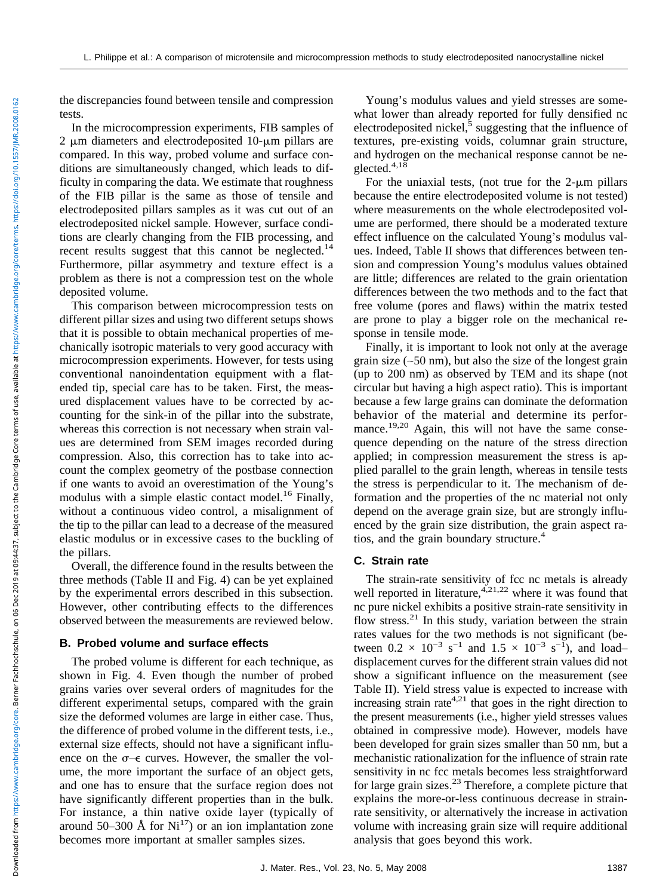the discrepancies found between tensile and compression tests.

In the microcompression experiments, FIB samples of  $2 \mu m$  diameters and electrodeposited 10- $\mu m$  pillars are compared. In this way, probed volume and surface conditions are simultaneously changed, which leads to difficulty in comparing the data. We estimate that roughness of the FIB pillar is the same as those of tensile and electrodeposited pillars samples as it was cut out of an electrodeposited nickel sample. However, surface conditions are clearly changing from the FIB processing, and recent results suggest that this cannot be neglected.<sup>14</sup> Furthermore, pillar asymmetry and texture effect is a problem as there is not a compression test on the whole deposited volume.

This comparison between microcompression tests on different pillar sizes and using two different setups shows that it is possible to obtain mechanical properties of mechanically isotropic materials to very good accuracy with microcompression experiments. However, for tests using conventional nanoindentation equipment with a flatended tip, special care has to be taken. First, the measured displacement values have to be corrected by accounting for the sink-in of the pillar into the substrate, whereas this correction is not necessary when strain values are determined from SEM images recorded during compression. Also, this correction has to take into account the complex geometry of the postbase connection if one wants to avoid an overestimation of the Young's modulus with a simple elastic contact model.<sup>16</sup> Finally, without a continuous video control, a misalignment of the tip to the pillar can lead to a decrease of the measured elastic modulus or in excessive cases to the buckling of the pillars.

Overall, the difference found in the results between the three methods (Table II and Fig. 4) can be yet explained by the experimental errors described in this subsection. However, other contributing effects to the differences observed between the measurements are reviewed below.

## **B. Probed volume and surface effects**

The probed volume is different for each technique, as shown in Fig. 4. Even though the number of probed grains varies over several orders of magnitudes for the different experimental setups, compared with the grain size the deformed volumes are large in either case. Thus, the difference of probed volume in the different tests, i.e., external size effects, should not have a significant influence on the  $\sigma$ - $\epsilon$  curves. However, the smaller the volume, the more important the surface of an object gets, and one has to ensure that the surface region does not have significantly different properties than in the bulk. For instance, a thin native oxide layer (typically of around 50–300 Å for  $Ni<sup>17</sup>$ ) or an ion implantation zone becomes more important at smaller samples sizes.

Young's modulus values and yield stresses are somewhat lower than already reported for fully densified nc electrodeposited nickel, $\frac{5}{3}$  suggesting that the influence of textures, pre-existing voids, columnar grain structure, and hydrogen on the mechanical response cannot be neglected. $4,18$ 

For the uniaxial tests, (not true for the  $2-\mu m$  pillars because the entire electrodeposited volume is not tested) where measurements on the whole electrodeposited volume are performed, there should be a moderated texture effect influence on the calculated Young's modulus values. Indeed, Table II shows that differences between tension and compression Young's modulus values obtained are little; differences are related to the grain orientation differences between the two methods and to the fact that free volume (pores and flaws) within the matrix tested are prone to play a bigger role on the mechanical response in tensile mode.

Finally, it is important to look not only at the average grain size (∼50 nm), but also the size of the longest grain (up to 200 nm) as observed by TEM and its shape (not circular but having a high aspect ratio). This is important because a few large grains can dominate the deformation behavior of the material and determine its performance.<sup>19,20</sup> Again, this will not have the same consequence depending on the nature of the stress direction applied; in compression measurement the stress is applied parallel to the grain length, whereas in tensile tests the stress is perpendicular to it. The mechanism of deformation and the properties of the nc material not only depend on the average grain size, but are strongly influenced by the grain size distribution, the grain aspect ratios, and the grain boundary structure.<sup>4</sup>

# **C. Strain rate**

The strain-rate sensitivity of fcc nc metals is already well reported in literature,  $4,21,22$  where it was found that nc pure nickel exhibits a positive strain-rate sensitivity in flow stress. $^{21}$  In this study, variation between the strain rates values for the two methods is not significant (between  $0.2 \times 10^{-3} \text{ s}^{-1}$  and  $1.5 \times 10^{-3} \text{ s}^{-1}$ , and load– displacement curves for the different strain values did not show a significant influence on the measurement (see Table II). Yield stress value is expected to increase with increasing strain rate<sup>4,21</sup> that goes in the right direction to the present measurements (i.e., higher yield stresses values obtained in compressive mode). However, models have been developed for grain sizes smaller than 50 nm, but a mechanistic rationalization for the influence of strain rate sensitivity in nc fcc metals becomes less straightforward for large grain sizes.<sup>23</sup> Therefore, a complete picture that explains the more-or-less continuous decrease in strainrate sensitivity, or alternatively the increase in activation volume with increasing grain size will require additional analysis that goes beyond this work.